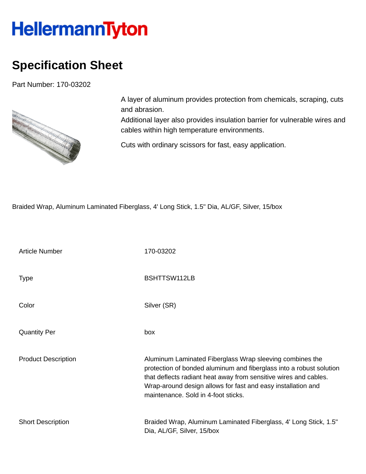## **HellermannTyton**

## **Specification Sheet**

Part Number: 170-03202



A layer of aluminum provides protection from chemicals, scraping, cuts and abrasion.

Additional layer also provides insulation barrier for vulnerable wires and cables within high temperature environments.

Cuts with ordinary scissors for fast, easy application.

Braided Wrap, Aluminum Laminated Fiberglass, 4' Long Stick, 1.5" Dia, AL/GF, Silver, 15/box

| <b>Article Number</b>      | 170-03202                                                                                                                                                                                                                                                                                                  |  |  |
|----------------------------|------------------------------------------------------------------------------------------------------------------------------------------------------------------------------------------------------------------------------------------------------------------------------------------------------------|--|--|
| <b>Type</b>                | BSHTTSW112LB                                                                                                                                                                                                                                                                                               |  |  |
| Color                      | Silver (SR)                                                                                                                                                                                                                                                                                                |  |  |
| <b>Quantity Per</b>        | box                                                                                                                                                                                                                                                                                                        |  |  |
| <b>Product Description</b> | Aluminum Laminated Fiberglass Wrap sleeving combines the<br>protection of bonded aluminum and fiberglass into a robust solution<br>that deflects radiant heat away from sensitive wires and cables.<br>Wrap-around design allows for fast and easy installation and<br>maintenance. Sold in 4-foot sticks. |  |  |
| <b>Short Description</b>   | Braided Wrap, Aluminum Laminated Fiberglass, 4' Long Stick, 1.5"<br>Dia, AL/GF, Silver, 15/box                                                                                                                                                                                                             |  |  |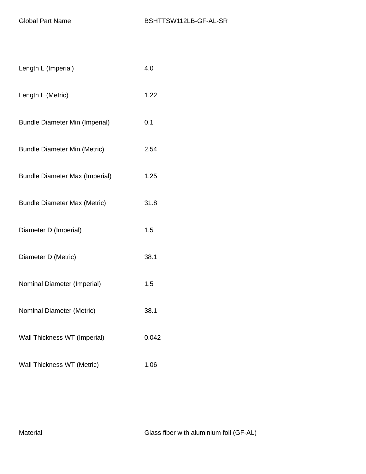| Length L (Imperial)                   | 4.0   |
|---------------------------------------|-------|
| Length L (Metric)                     | 1.22  |
| <b>Bundle Diameter Min (Imperial)</b> | 0.1   |
| <b>Bundle Diameter Min (Metric)</b>   | 2.54  |
| <b>Bundle Diameter Max (Imperial)</b> | 1.25  |
| <b>Bundle Diameter Max (Metric)</b>   | 31.8  |
| Diameter D (Imperial)                 | 1.5   |
| Diameter D (Metric)                   | 38.1  |
| Nominal Diameter (Imperial)           | 1.5   |
| Nominal Diameter (Metric)             | 38.1  |
| Wall Thickness WT (Imperial)          | 0.042 |
| Wall Thickness WT (Metric)            | 1.06  |